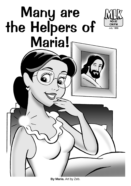## Many are the Helpers of Maria!



**By Maria.** Art by Zeb.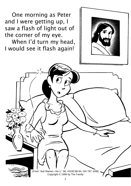One morning as Peter and I were getting up, I saw a flash of light out of the corner of my eye.

When I'd turn my head, I would see it flash again!



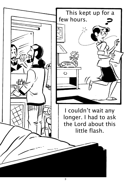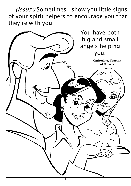(Jesus:) Sometimes I show you little signs of your spirit helpers to encourage you that they're with you.

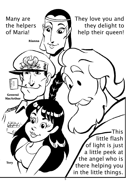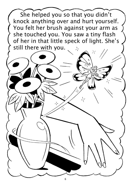![](_page_5_Picture_0.jpeg)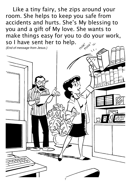Like a tiny fairy, she zips around your room. She helps to keep you safe from accidents and hurts. She's My blessing to you and a gift of My love. She wants to make things easy for you to do your work, so I have sent her to help.

![](_page_6_Picture_1.jpeg)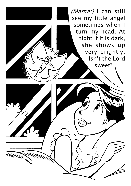![](_page_7_Picture_0.jpeg)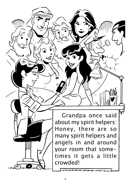Grandpa once said about my spirit helpers: Honey, there are so many spirit helpers and angels in and around your room that sometimes it gets a little crowded!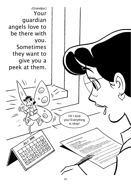![](_page_9_Picture_0.jpeg)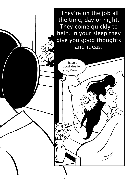![](_page_10_Picture_0.jpeg)